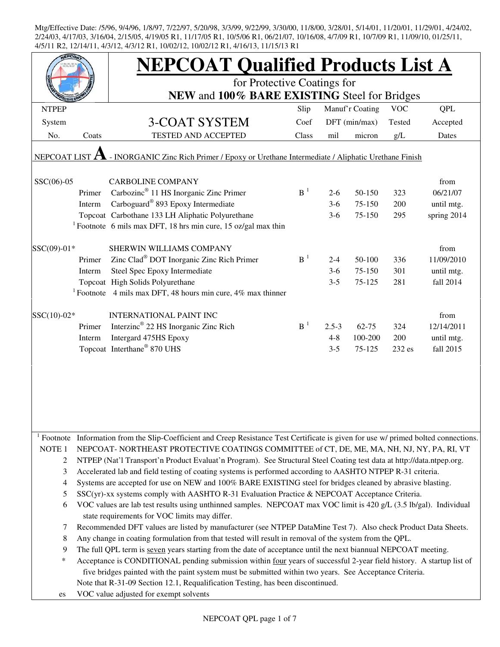| <b>NEPCOAT Qualified Products List A</b><br>for Protective Coatings for<br>NEW and 100% BARE EXISTING Steel for Bridges                                                  |  |  |  |  |  |  |  |  |  |
|--------------------------------------------------------------------------------------------------------------------------------------------------------------------------|--|--|--|--|--|--|--|--|--|
|                                                                                                                                                                          |  |  |  |  |  |  |  |  |  |
|                                                                                                                                                                          |  |  |  |  |  |  |  |  |  |
| Manuf'r Coating<br><b>VOC</b><br><b>QPL</b><br><b>NTPEP</b><br>Slip                                                                                                      |  |  |  |  |  |  |  |  |  |
| 3-COAT SYSTEM<br>Coef<br>DFT (min/max)<br>Tested<br>System<br>Accepted                                                                                                   |  |  |  |  |  |  |  |  |  |
| <b>TESTED AND ACCEPTED</b><br>No.<br>Coats<br>Class<br>mil<br>micron<br>g/L<br>Dates                                                                                     |  |  |  |  |  |  |  |  |  |
| NEPCOAT LIST $\Lambda$ - INORGANIC Zinc Rich Primer / Epoxy or Urethane Intermediate / Aliphatic Urethane Finish                                                         |  |  |  |  |  |  |  |  |  |
| $SSC(06)-05$<br><b>CARBOLINE COMPANY</b><br>from                                                                                                                         |  |  |  |  |  |  |  |  |  |
| Carbozinc <sup>®</sup> 11 HS Inorganic Zinc Primer<br>B <sup>1</sup><br>06/21/07<br>Primer<br>50-150<br>323<br>$2 - 6$                                                   |  |  |  |  |  |  |  |  |  |
| Carboguard <sup>®</sup> 893 Epoxy Intermediate<br>200<br>Interm<br>$3-6$<br>75-150<br>until mtg.                                                                         |  |  |  |  |  |  |  |  |  |
| Topcoat Carbothane 133 LH Aliphatic Polyurethane<br>spring 2014<br>$3-6$<br>75-150<br>295                                                                                |  |  |  |  |  |  |  |  |  |
| <sup>1</sup> Footnote 6 mils max DFT, 18 hrs min cure, 15 oz/gal max thin                                                                                                |  |  |  |  |  |  |  |  |  |
|                                                                                                                                                                          |  |  |  |  |  |  |  |  |  |
| SSC(09)-01*<br>SHERWIN WILLIAMS COMPANY<br>from<br>B <sup>1</sup>                                                                                                        |  |  |  |  |  |  |  |  |  |
| Zinc Clad <sup>®</sup> DOT Inorganic Zinc Rich Primer<br>Primer<br>50-100<br>336<br>11/09/2010<br>$2 - 4$                                                                |  |  |  |  |  |  |  |  |  |
| Steel Spec Epoxy Intermediate<br>301<br>Interm<br>$3-6$<br>75-150<br>until mtg.                                                                                          |  |  |  |  |  |  |  |  |  |
| Topcoat High Solids Polyurethane<br>$3 - 5$<br>281<br>fall 2014<br>75-125                                                                                                |  |  |  |  |  |  |  |  |  |
| <sup>1</sup> Footnote 4 mils max DFT, 48 hours min cure, $4\%$ max thinner                                                                                               |  |  |  |  |  |  |  |  |  |
| SSC(10)-02*<br><b>INTERNATIONAL PAINT INC</b><br>from                                                                                                                    |  |  |  |  |  |  |  |  |  |
| Interzinc <sup>®</sup> 22 HS Inorganic Zinc Rich<br>B <sup>1</sup><br>12/14/2011<br>Primer<br>$2.5 - 3$<br>$62 - 75$<br>324                                              |  |  |  |  |  |  |  |  |  |
| Intergard 475HS Epoxy<br>$4 - 8$<br>100-200<br>200<br>Interm<br>until mtg.                                                                                               |  |  |  |  |  |  |  |  |  |
| Topcoat Interthane® 870 UHS<br>$3 - 5$<br>75-125<br>232 es<br>fall 2015                                                                                                  |  |  |  |  |  |  |  |  |  |
|                                                                                                                                                                          |  |  |  |  |  |  |  |  |  |
| <sup>1</sup> Footnote Information from the Slip-Coefficient and Creep Resistance Test Certificate is given for use w/ primed bolted connections.                         |  |  |  |  |  |  |  |  |  |
| NOTE <sub>1</sub><br>NEPCOAT-NORTHEAST PROTECTIVE COATINGS COMMITTEE of CT, DE, ME, MA, NH, NJ, NY, PA, RI, VT                                                           |  |  |  |  |  |  |  |  |  |
| $\overline{c}$<br>NTPEP (Nat'l Transport'n Product Evaluat'n Program). See Structural Steel Coating test data at http://data.ntpep.org.                                  |  |  |  |  |  |  |  |  |  |
| Accelerated lab and field testing of coating systems is performed according to AASHTO NTPEP R-31 criteria.<br>3                                                          |  |  |  |  |  |  |  |  |  |
| Systems are accepted for use on NEW and 100% BARE EXISTING steel for bridges cleaned by abrasive blasting.<br>4                                                          |  |  |  |  |  |  |  |  |  |
| SSC(yr)-xx systems comply with AASHTO R-31 Evaluation Practice & NEPCOAT Acceptance Criteria.<br>5                                                                       |  |  |  |  |  |  |  |  |  |
| VOC values are lab test results using unthinned samples. NEPCOAT max VOC limit is 420 g/L (3.5 lb/gal). Individual<br>6<br>state requirements for VOC limits may differ. |  |  |  |  |  |  |  |  |  |
| Recommended DFT values are listed by manufacturer (see NTPEP DataMine Test 7). Also check Product Data Sheets.<br>7                                                      |  |  |  |  |  |  |  |  |  |
| 8<br>Any change in coating formulation from that tested will result in removal of the system from the QPL.                                                               |  |  |  |  |  |  |  |  |  |
| The full QPL term is seven years starting from the date of acceptance until the next biannual NEPCOAT meeting.<br>9                                                      |  |  |  |  |  |  |  |  |  |
| $\ast$<br>Acceptance is CONDITIONAL pending submission within four years of successful 2-year field history. A startup list of                                           |  |  |  |  |  |  |  |  |  |
| five bridges painted with the paint system must be submitted within two years. See Acceptance Criteria.                                                                  |  |  |  |  |  |  |  |  |  |
| Note that R-31-09 Section 12.1, Requalification Testing, has been discontinued.                                                                                          |  |  |  |  |  |  |  |  |  |
| VOC value adjusted for exempt solvents<br>es                                                                                                                             |  |  |  |  |  |  |  |  |  |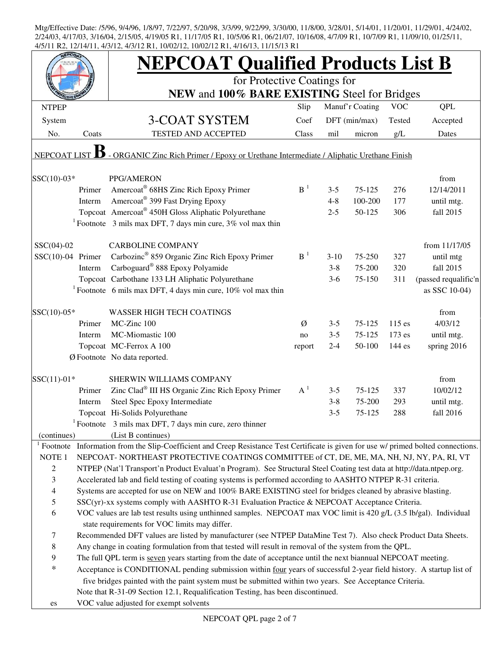|                     |        | <b>NEPCOAT Qualified Products List B</b>                                                                                            |                |         |                 |            |                      |
|---------------------|--------|-------------------------------------------------------------------------------------------------------------------------------------|----------------|---------|-----------------|------------|----------------------|
|                     |        | for Protective Coatings for<br>NEW and 100% BARE EXISTING Steel for Bridges                                                         |                |         |                 |            |                      |
| <b>NTPEP</b>        |        |                                                                                                                                     | Slip           |         | Manuf'r Coating | <b>VOC</b> | <b>QPL</b>           |
| System              |        | <b>3-COAT SYSTEM</b>                                                                                                                | Coef           |         | DFT (min/max)   | Tested     | Accepted             |
| No.                 | Coats  | TESTED AND ACCEPTED                                                                                                                 | Class          | mil     | micron          | g/L        | Dates                |
| <b>NEPCOAT LIST</b> |        | - ORGANIC Zinc Rich Primer / Epoxy or Urethane Intermediate / Aliphatic Urethane Finish                                             |                |         |                 |            |                      |
| $SSC(10)-03*$       |        | PPG/AMERON                                                                                                                          |                |         |                 |            | from                 |
|                     | Primer | Amercoat® 68HS Zinc Rich Epoxy Primer                                                                                               | B <sup>1</sup> | $3 - 5$ | 75-125          | 276        | 12/14/2011           |
|                     | Interm | Amercoat <sup>®</sup> 399 Fast Drying Epoxy                                                                                         |                | $4 - 8$ | 100-200         | 177        | until mtg.           |
|                     |        | Topcoat Amercoat® 450H Gloss Aliphatic Polyurethane                                                                                 |                | $2 - 5$ | 50-125          | 306        | fall 2015            |
|                     |        | <sup>1</sup> Footnote 3 mils max DFT, 7 days min cure, $3\%$ vol max thin                                                           |                |         |                 |            |                      |
| $SSC(04)-02$        |        | <b>CARBOLINE COMPANY</b>                                                                                                            |                |         |                 |            | from 11/17/05        |
| $SSC(10)-04$ Primer |        | Carbozinc <sup>®</sup> 859 Organic Zinc Rich Epoxy Primer                                                                           | $B-1$          | $3-10$  | 75-250          | 327        | until mtg            |
|                     | Interm | Carboguard <sup>®</sup> 888 Epoxy Polyamide                                                                                         |                | $3 - 8$ | 75-200          | 320        | fall 2015            |
|                     |        | Topcoat Carbothane 133 LH Aliphatic Polyurethane                                                                                    |                | $3-6$   | 75-150          | 311        | (passed requalific'n |
|                     |        | <sup>1</sup> Footnote 6 mils max DFT, 4 days min cure, $10\%$ vol max thin                                                          |                |         |                 |            | as SSC 10-04)        |
| $SSC(10)-05*$       |        | <b>WASSER HIGH TECH COATINGS</b>                                                                                                    |                |         |                 |            | from                 |
|                     | Primer | MC-Zinc 100                                                                                                                         | Ø              | $3 - 5$ | 75-125          | $115$ es   | 4/03/12              |
|                     | Interm | MC-Miomastic 100                                                                                                                    | no             | $3 - 5$ | 75-125          | 173 es     | until mtg.           |
|                     |        | Topcoat MC-Ferrox A 100                                                                                                             | report         | $2 - 4$ | 50-100          | 144 es     | spring 2016          |
|                     |        | Ø Footnote No data reported.                                                                                                        |                |         |                 |            |                      |
| $SSC(11)-01*$       |        | SHERWIN WILLIAMS COMPANY                                                                                                            |                |         |                 |            | from                 |
|                     | Primer | Zinc Clad® III HS Organic Zinc Rich Epoxy Primer                                                                                    | $A^1$          | $3 - 5$ | 75-125          | 337        | 10/02/12             |
|                     | Interm | Steel Spec Epoxy Intermediate                                                                                                       |                | $3 - 8$ | 75-200          | 293        | until mtg.           |
|                     |        | Topcoat Hi-Solids Polyurethane                                                                                                      |                | $3 - 5$ | 75-125          | 288        | fall 2016            |
|                     |        | Footnote 3 mils max DFT, 7 days min cure, zero thinner                                                                              |                |         |                 |            |                      |
| (continues)         |        | (List B continues)                                                                                                                  |                |         |                 |            |                      |
|                     |        | Footnote Information from the Slip-Coefficient and Creep Resistance Test Certificate is given for use w/ primed bolted connections. |                |         |                 |            |                      |
| NOTE <sub>1</sub>   |        | NEPCOAT-NORTHEAST PROTECTIVE COATINGS COMMITTEE of CT, DE, ME, MA, NH, NJ, NY, PA, RI, VT                                           |                |         |                 |            |                      |
| $\overline{c}$      |        | NTPEP (Nat'l Transport'n Product Evaluat'n Program). See Structural Steel Coating test data at http://data.ntpep.org.               |                |         |                 |            |                      |
| 3                   |        | Accelerated lab and field testing of coating systems is performed according to AASHTO NTPEP R-31 criteria.                          |                |         |                 |            |                      |
| $\overline{4}$      |        | Systems are accepted for use on NEW and 100% BARE EXISTING steel for bridges cleaned by abrasive blasting.                          |                |         |                 |            |                      |
| 5                   |        | SSC(yr)-xx systems comply with AASHTO R-31 Evaluation Practice & NEPCOAT Acceptance Criteria.                                       |                |         |                 |            |                      |
| 6                   |        | VOC values are lab test results using unthinned samples. NEPCOAT max VOC limit is 420 g/L (3.5 lb/gal). Individual                  |                |         |                 |            |                      |
|                     |        | state requirements for VOC limits may differ.                                                                                       |                |         |                 |            |                      |
| 7                   |        | Recommended DFT values are listed by manufacturer (see NTPEP DataMine Test 7). Also check Product Data Sheets.                      |                |         |                 |            |                      |
| $\,$ 8 $\,$         |        | Any change in coating formulation from that tested will result in removal of the system from the QPL.                               |                |         |                 |            |                      |
| 9                   |        | The full QPL term is seven years starting from the date of acceptance until the next biannual NEPCOAT meeting.                      |                |         |                 |            |                      |
| $\ast$              |        | Acceptance is CONDITIONAL pending submission within four years of successful 2-year field history. A startup list of                |                |         |                 |            |                      |
|                     |        | five bridges painted with the paint system must be submitted within two years. See Acceptance Criteria.                             |                |         |                 |            |                      |
|                     |        | Note that R-31-09 Section 12.1, Requalification Testing, has been discontinued.                                                     |                |         |                 |            |                      |
| es                  |        | VOC value adjusted for exempt solvents                                                                                              |                |         |                 |            |                      |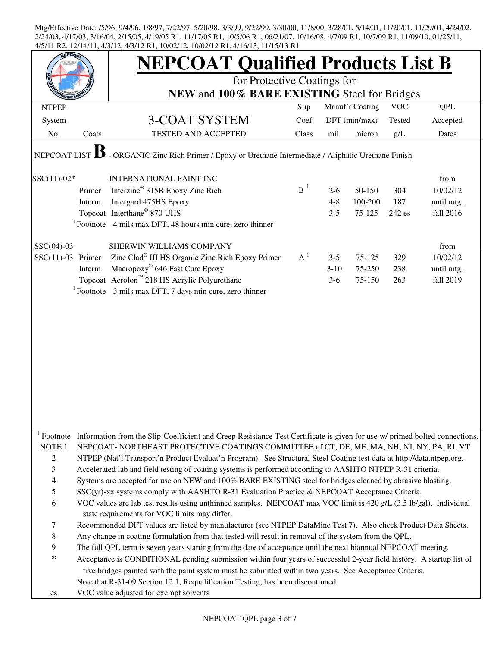|                     |        | <b>NEPCOAT Qualified Products List B</b>                                                                                                         |       |         |                 |            |            |
|---------------------|--------|--------------------------------------------------------------------------------------------------------------------------------------------------|-------|---------|-----------------|------------|------------|
|                     |        | for Protective Coatings for                                                                                                                      |       |         |                 |            |            |
|                     |        | NEW and 100% BARE EXISTING Steel for Bridges                                                                                                     |       |         |                 |            |            |
| <b>NTPEP</b>        |        |                                                                                                                                                  | Slip  |         | Manuf'r Coating | <b>VOC</b> | QPL        |
| System              |        | 3-COAT SYSTEM                                                                                                                                    | Coef  |         | DFT (min/max)   | Tested     | Accepted   |
| No.                 | Coats  | TESTED AND ACCEPTED                                                                                                                              | Class | mil     | micron          | $g/L$      | Dates      |
| <b>NEPCOAT LIST</b> |        | - ORGANIC Zinc Rich Primer / Epoxy or Urethane Intermediate / Aliphatic Urethane Finish                                                          |       |         |                 |            |            |
|                     |        |                                                                                                                                                  |       |         |                 |            |            |
| $SSC(11)-02*$       |        | <b>INTERNATIONAL PAINT INC</b>                                                                                                                   |       |         |                 |            | from       |
|                     | Primer | Interzinc <sup>®</sup> 315B Epoxy Zinc Rich                                                                                                      | $B^1$ | $2-6$   | 50-150          | 304        | 10/02/12   |
|                     | Interm | Intergard 475HS Epoxy                                                                                                                            |       | $4 - 8$ | 100-200         | 187        | until mtg. |
|                     |        | Topcoat Interthane® 870 UHS                                                                                                                      |       | $3 - 5$ | 75-125          | 242 es     | fall 2016  |
|                     |        | $1$ Footnote 4 mils max DFT, 48 hours min cure, zero thinner                                                                                     |       |         |                 |            |            |
| $SSC(04)-03$        |        | SHERWIN WILLIAMS COMPANY                                                                                                                         |       |         |                 |            | from       |
| $SSC(11)-03$ Primer |        | Zinc Clad <sup>®</sup> III HS Organic Zinc Rich Epoxy Primer                                                                                     | $A^1$ | $3 - 5$ | 75-125          | 329        | 10/02/12   |
|                     | Interm | Macropoxy <sup>®</sup> 646 Fast Cure Epoxy                                                                                                       |       | $3-10$  | 75-250          | 238        | until mtg. |
|                     |        | Topcoat Acrolon <sup>™</sup> 218 HS Acrylic Polyurethane                                                                                         |       | $3-6$   | 75-150          | 263        | fall 2019  |
|                     |        | $1$ Footnote 3 mils max DFT, 7 days min cure, zero thinner                                                                                       |       |         |                 |            |            |
|                     |        |                                                                                                                                                  |       |         |                 |            |            |
|                     |        |                                                                                                                                                  |       |         |                 |            |            |
|                     |        |                                                                                                                                                  |       |         |                 |            |            |
|                     |        |                                                                                                                                                  |       |         |                 |            |            |
|                     |        |                                                                                                                                                  |       |         |                 |            |            |
|                     |        |                                                                                                                                                  |       |         |                 |            |            |
|                     |        |                                                                                                                                                  |       |         |                 |            |            |
|                     |        |                                                                                                                                                  |       |         |                 |            |            |
|                     |        |                                                                                                                                                  |       |         |                 |            |            |
|                     |        |                                                                                                                                                  |       |         |                 |            |            |
|                     |        |                                                                                                                                                  |       |         |                 |            |            |
|                     |        |                                                                                                                                                  |       |         |                 |            |            |
|                     |        | <sup>1</sup> Footnote Information from the Slip-Coefficient and Creep Resistance Test Certificate is given for use w/ primed bolted connections. |       |         |                 |            |            |
| NOTE <sub>1</sub>   |        | NEPCOAT-NORTHEAST PROTECTIVE COATINGS COMMITTEE of CT, DE, ME, MA, NH, NJ, NY, PA, RI, VT                                                        |       |         |                 |            |            |
| 2                   |        | NTPEP (Nat'l Transport'n Product Evaluat'n Program). See Structural Steel Coating test data at http://data.ntpep.org.                            |       |         |                 |            |            |
| 3                   |        | Accelerated lab and field testing of coating systems is performed according to AASHTO NTPEP R-31 criteria.                                       |       |         |                 |            |            |
| 4                   |        | Systems are accepted for use on NEW and 100% BARE EXISTING steel for bridges cleaned by abrasive blasting.                                       |       |         |                 |            |            |
| 5                   |        | SSC(yr)-xx systems comply with AASHTO R-31 Evaluation Practice & NEPCOAT Acceptance Criteria.                                                    |       |         |                 |            |            |
| 6                   |        | VOC values are lab test results using unthinned samples. NEPCOAT max VOC limit is 420 g/L (3.5 lb/gal). Individual                               |       |         |                 |            |            |
|                     |        | state requirements for VOC limits may differ.                                                                                                    |       |         |                 |            |            |
| 7                   |        | Recommended DFT values are listed by manufacturer (see NTPEP DataMine Test 7). Also check Product Data Sheets.                                   |       |         |                 |            |            |
| 8                   |        | Any change in coating formulation from that tested will result in removal of the system from the QPL.                                            |       |         |                 |            |            |
| 9                   |        | The full QPL term is seven years starting from the date of acceptance until the next biannual NEPCOAT meeting.                                   |       |         |                 |            |            |
| *                   |        |                                                                                                                                                  |       |         |                 |            |            |
|                     |        | Acceptance is CONDITIONAL pending submission within four years of successful 2-year field history. A startup list of                             |       |         |                 |            |            |
|                     |        | five bridges painted with the paint system must be submitted within two years. See Acceptance Criteria.                                          |       |         |                 |            |            |
|                     |        | Note that R-31-09 Section 12.1, Requalification Testing, has been discontinued.                                                                  |       |         |                 |            |            |
| es                  |        | VOC value adjusted for exempt solvents                                                                                                           |       |         |                 |            |            |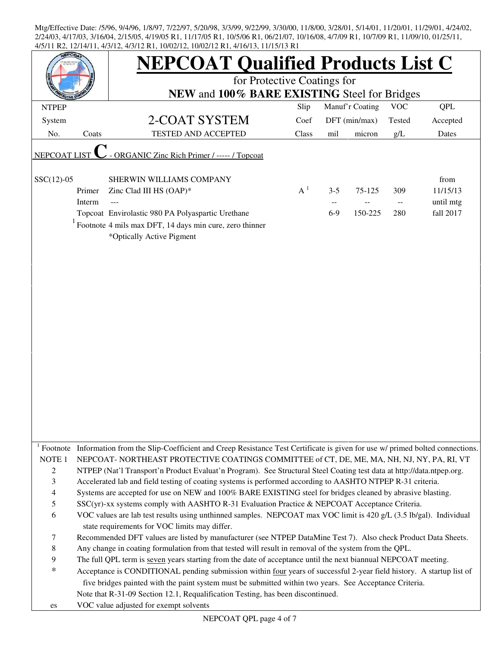|                          |        | <b>NEPCOAT Qualified Products List C</b>                                                                                                         |       |         |                 |                                               |            |
|--------------------------|--------|--------------------------------------------------------------------------------------------------------------------------------------------------|-------|---------|-----------------|-----------------------------------------------|------------|
|                          |        | for Protective Coatings for<br>NEW and 100% BARE EXISTING Steel for Bridges                                                                      |       |         |                 |                                               |            |
| <b>NTPEP</b>             |        |                                                                                                                                                  | Slip  |         | Manuf'r Coating | <b>VOC</b>                                    | <b>QPL</b> |
| System                   |        | 2-COAT SYSTEM                                                                                                                                    | Coef  |         | DFT (min/max)   | Tested                                        | Accepted   |
| No.                      | Coats  | <b>TESTED AND ACCEPTED</b>                                                                                                                       | Class | mil     | micron          | g/L                                           | Dates      |
|                          |        |                                                                                                                                                  |       |         |                 |                                               |            |
| <b>NEPCOAT LIST</b>      |        | ORGANIC Zinc Rich Primer / ----- / Topcoat                                                                                                       |       |         |                 |                                               |            |
| $SSC(12)-05$             |        | SHERWIN WILLIAMS COMPANY                                                                                                                         |       |         |                 |                                               | from       |
|                          | Primer | Zinc Clad III HS (OAP)*                                                                                                                          | $A^1$ | $3 - 5$ | 75-125          | 309                                           | 11/15/13   |
|                          | Interm |                                                                                                                                                  |       |         |                 | $\mathord{\hspace{1pt}\text{--}\hspace{1pt}}$ | until mtg  |
|                          |        | Topcoat Envirolastic 980 PA Polyaspartic Urethane                                                                                                |       | $6-9$   | 150-225         | 280                                           | fall 2017  |
|                          |        | Footnote 4 mils max DFT, 14 days min cure, zero thinner<br>*Optically Active Pigment                                                             |       |         |                 |                                               |            |
|                          |        |                                                                                                                                                  |       |         |                 |                                               |            |
|                          |        |                                                                                                                                                  |       |         |                 |                                               |            |
|                          |        |                                                                                                                                                  |       |         |                 |                                               |            |
|                          |        |                                                                                                                                                  |       |         |                 |                                               |            |
|                          |        |                                                                                                                                                  |       |         |                 |                                               |            |
|                          |        |                                                                                                                                                  |       |         |                 |                                               |            |
|                          |        |                                                                                                                                                  |       |         |                 |                                               |            |
|                          |        |                                                                                                                                                  |       |         |                 |                                               |            |
|                          |        |                                                                                                                                                  |       |         |                 |                                               |            |
|                          |        |                                                                                                                                                  |       |         |                 |                                               |            |
|                          |        |                                                                                                                                                  |       |         |                 |                                               |            |
|                          |        |                                                                                                                                                  |       |         |                 |                                               |            |
|                          |        |                                                                                                                                                  |       |         |                 |                                               |            |
|                          |        |                                                                                                                                                  |       |         |                 |                                               |            |
|                          |        | <sup>1</sup> Footnote Information from the Slip-Coefficient and Creep Resistance Test Certificate is given for use w/ primed bolted connections. |       |         |                 |                                               |            |
| NOTE <sub>1</sub>        |        | NEPCOAT- NORTHEAST PROTECTIVE COATINGS COMMITTEE of CT, DE, ME, MA, NH, NJ, NY, PA, RI, VT                                                       |       |         |                 |                                               |            |
| $\overline{c}$           |        | NTPEP (Nat'l Transport'n Product Evaluat'n Program). See Structural Steel Coating test data at http://data.ntpep.org.                            |       |         |                 |                                               |            |
| 3                        |        | Accelerated lab and field testing of coating systems is performed according to AASHTO NTPEP R-31 criteria.                                       |       |         |                 |                                               |            |
| $\overline{\mathcal{A}}$ |        | Systems are accepted for use on NEW and 100% BARE EXISTING steel for bridges cleaned by abrasive blasting.                                       |       |         |                 |                                               |            |
| $\mathfrak s$            |        | SSC(yr)-xx systems comply with AASHTO R-31 Evaluation Practice & NEPCOAT Acceptance Criteria.                                                    |       |         |                 |                                               |            |
| 6                        |        | VOC values are lab test results using unthinned samples. NEPCOAT max VOC limit is 420 g/L (3.5 lb/gal). Individual                               |       |         |                 |                                               |            |
|                          |        | state requirements for VOC limits may differ.                                                                                                    |       |         |                 |                                               |            |
| 7                        |        | Recommended DFT values are listed by manufacturer (see NTPEP DataMine Test 7). Also check Product Data Sheets.                                   |       |         |                 |                                               |            |
| $8\,$                    |        | Any change in coating formulation from that tested will result in removal of the system from the QPL.                                            |       |         |                 |                                               |            |
| 9                        |        | The full QPL term is seven years starting from the date of acceptance until the next biannual NEPCOAT meeting.                                   |       |         |                 |                                               |            |
| $\ast$                   |        | Acceptance is CONDITIONAL pending submission within four years of successful 2-year field history. A startup list of                             |       |         |                 |                                               |            |
|                          |        | five bridges painted with the paint system must be submitted within two years. See Acceptance Criteria.                                          |       |         |                 |                                               |            |
|                          |        | Note that R-31-09 Section 12.1, Requalification Testing, has been discontinued.                                                                  |       |         |                 |                                               |            |
| es                       |        | VOC value adjusted for exempt solvents                                                                                                           |       |         |                 |                                               |            |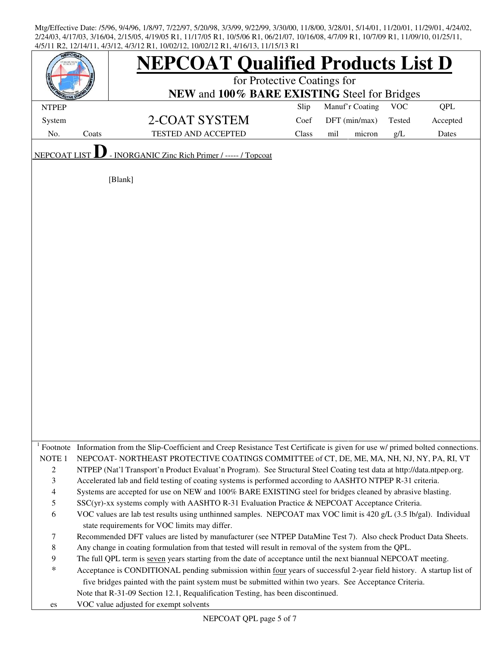| <b>EPCOA</b>        |       | <b>NEPCOAT Qualified Products List D</b>                                                                                                         |       |                 |        |            |          |  |  |
|---------------------|-------|--------------------------------------------------------------------------------------------------------------------------------------------------|-------|-----------------|--------|------------|----------|--|--|
|                     |       | for Protective Coatings for                                                                                                                      |       |                 |        |            |          |  |  |
|                     |       | NEW and 100% BARE EXISTING Steel for Bridges                                                                                                     |       |                 |        |            |          |  |  |
| <b>NTPEP</b>        |       |                                                                                                                                                  | Slip  | Manuf'r Coating |        | <b>VOC</b> | QPL      |  |  |
| System              |       | 2-COAT SYSTEM                                                                                                                                    | Coef  | DFT (min/max)   |        | Tested     | Accepted |  |  |
| No.                 | Coats | <b>TESTED AND ACCEPTED</b>                                                                                                                       | Class | mil             | micron | $g/L$      | Dates    |  |  |
|                     |       |                                                                                                                                                  |       |                 |        |            |          |  |  |
| <b>NEPCOAT LIST</b> |       | - INORGANIC Zinc Rich Primer / ----- / Topcoat                                                                                                   |       |                 |        |            |          |  |  |
|                     |       | [Blank]                                                                                                                                          |       |                 |        |            |          |  |  |
|                     |       |                                                                                                                                                  |       |                 |        |            |          |  |  |
|                     |       |                                                                                                                                                  |       |                 |        |            |          |  |  |
|                     |       |                                                                                                                                                  |       |                 |        |            |          |  |  |
|                     |       |                                                                                                                                                  |       |                 |        |            |          |  |  |
|                     |       |                                                                                                                                                  |       |                 |        |            |          |  |  |
|                     |       |                                                                                                                                                  |       |                 |        |            |          |  |  |
|                     |       |                                                                                                                                                  |       |                 |        |            |          |  |  |
|                     |       |                                                                                                                                                  |       |                 |        |            |          |  |  |
|                     |       |                                                                                                                                                  |       |                 |        |            |          |  |  |
|                     |       |                                                                                                                                                  |       |                 |        |            |          |  |  |
|                     |       |                                                                                                                                                  |       |                 |        |            |          |  |  |
|                     |       |                                                                                                                                                  |       |                 |        |            |          |  |  |
|                     |       |                                                                                                                                                  |       |                 |        |            |          |  |  |
|                     |       |                                                                                                                                                  |       |                 |        |            |          |  |  |
|                     |       |                                                                                                                                                  |       |                 |        |            |          |  |  |
|                     |       |                                                                                                                                                  |       |                 |        |            |          |  |  |
|                     |       |                                                                                                                                                  |       |                 |        |            |          |  |  |
|                     |       |                                                                                                                                                  |       |                 |        |            |          |  |  |
|                     |       |                                                                                                                                                  |       |                 |        |            |          |  |  |
|                     |       |                                                                                                                                                  |       |                 |        |            |          |  |  |
|                     |       |                                                                                                                                                  |       |                 |        |            |          |  |  |
|                     |       |                                                                                                                                                  |       |                 |        |            |          |  |  |
|                     |       |                                                                                                                                                  |       |                 |        |            |          |  |  |
|                     |       | <sup>1</sup> Footnote Information from the Slip-Coefficient and Creep Resistance Test Certificate is given for use w/ primed bolted connections. |       |                 |        |            |          |  |  |
| NOTE <sub>1</sub>   |       | NEPCOAT-NORTHEAST PROTECTIVE COATINGS COMMITTEE of CT, DE, ME, MA, NH, NJ, NY, PA, RI, VT                                                        |       |                 |        |            |          |  |  |
| $\overline{c}$      |       | NTPEP (Nat'l Transport'n Product Evaluat'n Program). See Structural Steel Coating test data at http://data.ntpep.org.                            |       |                 |        |            |          |  |  |
| 3                   |       | Accelerated lab and field testing of coating systems is performed according to AASHTO NTPEP R-31 criteria.                                       |       |                 |        |            |          |  |  |
| 4                   |       | Systems are accepted for use on NEW and 100% BARE EXISTING steel for bridges cleaned by abrasive blasting.                                       |       |                 |        |            |          |  |  |
| 5                   |       | SSC(yr)-xx systems comply with AASHTO R-31 Evaluation Practice & NEPCOAT Acceptance Criteria.                                                    |       |                 |        |            |          |  |  |
| 6                   |       | VOC values are lab test results using unthinned samples. NEPCOAT max VOC limit is 420 g/L (3.5 lb/gal). Individual                               |       |                 |        |            |          |  |  |
|                     |       | state requirements for VOC limits may differ.                                                                                                    |       |                 |        |            |          |  |  |
| 7                   |       | Recommended DFT values are listed by manufacturer (see NTPEP DataMine Test 7). Also check Product Data Sheets.                                   |       |                 |        |            |          |  |  |
| 8                   |       | Any change in coating formulation from that tested will result in removal of the system from the QPL.                                            |       |                 |        |            |          |  |  |
| 9                   |       | The full QPL term is seven years starting from the date of acceptance until the next biannual NEPCOAT meeting.                                   |       |                 |        |            |          |  |  |
| $\ast$              |       | Acceptance is CONDITIONAL pending submission within four years of successful 2-year field history. A startup list of                             |       |                 |        |            |          |  |  |
|                     |       | five bridges painted with the paint system must be submitted within two years. See Acceptance Criteria.                                          |       |                 |        |            |          |  |  |
|                     |       |                                                                                                                                                  |       |                 |        |            |          |  |  |
|                     |       | Note that R-31-09 Section 12.1, Requalification Testing, has been discontinued.                                                                  |       |                 |        |            |          |  |  |
| es                  |       | VOC value adjusted for exempt solvents                                                                                                           |       |                 |        |            |          |  |  |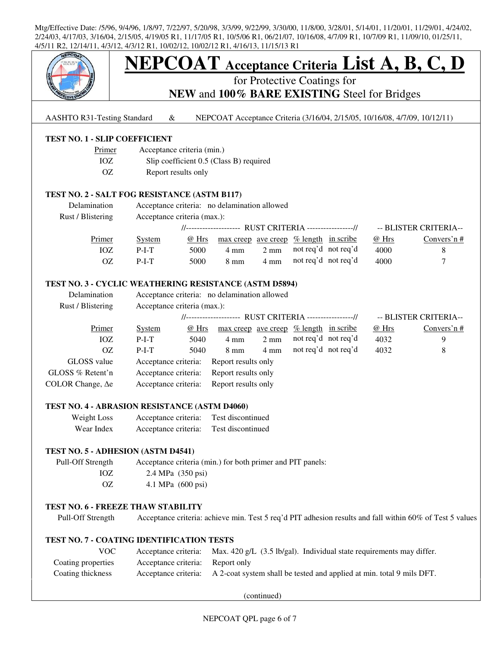

# **NEPCOAT Acceptance Criteria List A, B, C, D**

for Protective Coatings for

**NEW** and **100% BARE EXISTING** Steel for Bridges

AASHTO R31-Testing Standard & NEPCOAT Acceptance Criteria (3/16/04, 2/15/05, 10/16/08, 4/7/09, 10/12/11)

## **TEST NO. 1 - SLIP COEFFICIENT**

- Primer Acceptance criteria (min.)
- IOZ Slip coefficient 0.5 (Class B) required
- OZ Report results only

#### **TEST NO. 2 - SALT FOG RESISTANCE (ASTM B117)**

| Delamination<br>Rust / Blistering | Acceptance criteria: no delamination allowed<br>Acceptance criteria (max.): |                                                          |                                          |                     |  |       |                       |
|-----------------------------------|-----------------------------------------------------------------------------|----------------------------------------------------------|------------------------------------------|---------------------|--|-------|-----------------------|
|                                   |                                                                             | //-------------------- RUST CRITERIA -----------------// |                                          |                     |  |       | -- BLISTER CRITERIA-- |
| Primer                            | @ Hrs<br><b>System</b>                                                      |                                                          | max creep ave creep $%$ length in scribe |                     |  | @ Hrs | Convers'n $#$         |
| IOZ                               | 5000<br>$P-I-T$                                                             | 4 mm                                                     | $2 \text{ mm}$                           | not req'd not req'd |  | 4000  |                       |
| OΖ                                | 5000<br>$P-I-T$                                                             | $8 \text{ mm}$                                           | $4 \text{ mm}$                           | not req'd not req'd |  | 4000  |                       |

## **TEST NO. 3 - CYCLIC WEATHERING RESISTANCE (ASTM D5894)**

| Delamination             | Acceptance criteria: no delamination allowed            |       |                     |                |                      |  |                       |               |
|--------------------------|---------------------------------------------------------|-------|---------------------|----------------|----------------------|--|-----------------------|---------------|
| Rust / Blistering        | Acceptance criteria (max.):                             |       |                     |                |                      |  |                       |               |
|                          | //-------------------- RUST CRITERIA ----------------// |       |                     |                |                      |  | -- BLISTER CRITERIA-- |               |
| Primer                   | <b>System</b>                                           | @ Hrs | max creep ave creep |                | $%$ length in scribe |  | @Hrs                  | Convers'n $#$ |
| IOZ                      | $P-I-T$                                                 | 5040  | $4 \text{ mm}$      | $2 \text{ mm}$ | not req'd not req'd  |  | 4032                  | 9             |
| 0Z                       | $P-I-T$                                                 | 5040  | $8 \text{ mm}$      | $4 \text{ mm}$ | not req'd not req'd  |  | 4032                  | 8             |
| GLOSS value              | Acceptance criteria:                                    |       | Report results only |                |                      |  |                       |               |
| GLOSS % Retent'n         | Acceptance criteria:                                    |       | Report results only |                |                      |  |                       |               |
| COLOR Change, $\Delta$ e | Acceptance criteria:                                    |       | Report results only |                |                      |  |                       |               |

#### **TEST NO. 4 - ABRASION RESISTANCE (ASTM D4060)**

| Weight Loss | Acceptance criteria: | Test discontinued |
|-------------|----------------------|-------------------|
| Wear Index  | Acceptance criteria: | Test discontinued |

#### **TEST NO. 5 - ADHESION (ASTM D4541)**

 Pull-Off Strength Acceptance criteria (min.) for both primer and PIT panels: IOZ 2.4 MPa (350 psi) OZ 4.1 MPa (600 psi)

### **TEST NO. 6 - FREEZE THAW STABILITY**

Pull-Off Strength Acceptance criteria: achieve min. Test 5 req'd PIT adhesion results and fall within 60% of Test 5 values

#### **TEST NO. 7 - COATING IDENTIFICATION TESTS**

| VOC.               |                                  | Acceptance criteria: Max. $420 g/L$ (3.5 lb/gal). Individual state requirements may differ. |
|--------------------|----------------------------------|---------------------------------------------------------------------------------------------|
| Coating properties | Acceptance criteria: Report only |                                                                                             |
| Coating thickness  |                                  | Acceptance criteria: A 2-coat system shall be tested and applied at min. total 9 mils DFT.  |

(continued)